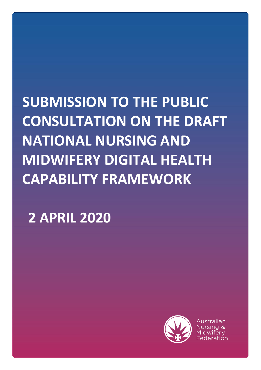# **SUBMISSION TO THE PUBLIC CONSULTATION ON THE DRAFT NATIONAL NURSING AND MIDWIFERY DIGITAL HEALTH CAPABILITY FRAMEWORK**

**2 APRIL 2020**

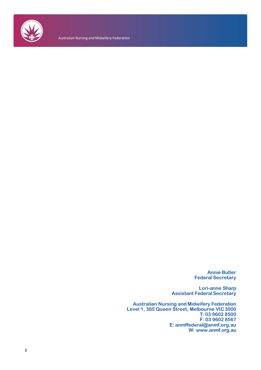

Australian Nursing and Midwifery Federation

**Annie Butler Federal Secretary**

**Lori-anne Sharp Assistant FederalSecretary**

**Australian Nursing and Midwifery Federation Level 1, 365 Queen Street, Melbourne VIC3000 T: 03 9602 8500 F: 03 9602 8567 E: [anmffederal@anmf.org.au](mailto:anmffederal@anmf.org.au) W: [www.anmf.org.au](http://www.anmf.org.au/)**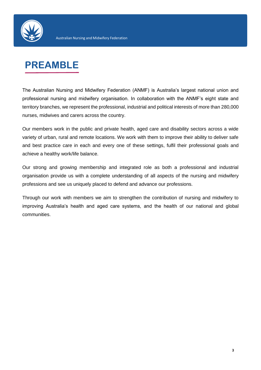

## **PREAMBLE**

The Australian Nursing and Midwifery Federation (ANMF) is Australia's largest national union and professional nursing and midwifery organisation. In collaboration with the ANMF's eight state and territory branches, we represent the professional, industrial and political interests of more than 280,000 nurses, midwives and carers across the country.

Our members work in the public and private health, aged care and disability sectors across a wide variety of urban, rural and remote locations. We work with them to improve their ability to deliver safe and best practice care in each and every one of these settings, fulfil their professional goals and achieve a healthy work/life balance.

Our strong and growing membership and integrated role as both a professional and industrial organisation provide us with a complete understanding of all aspects of the nursing and midwifery professions and see us uniquely placed to defend and advance our professions.

Through our work with members we aim to strengthen the contribution of nursing and midwifery to improving Australia's health and aged care systems, and the health of our national and global communities.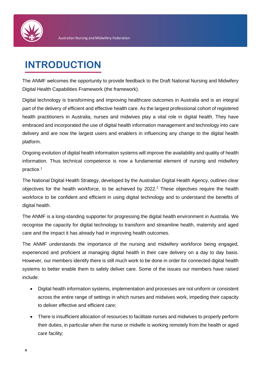

## **INTRODUCTION**

The ANMF welcomes the opportunity to provide feedback to the Draft National Nursing and Midwifery Digital Health Capabilities Framework (the framework).

Digital technology is transforming and improving healthcare outcomes in Australia and is an integral part of the delivery of efficient and effective health care. As the largest professional cohort of registered health practitioners in Australia, nurses and midwives play a vital role in digital health. They have embraced and incorporated the use of digital health information management and technology into care delivery and are now the largest users and enablers in influencing any change to the digital health platform.

Ongoing evolution of digital health information systems will improve the availability and quality of health information. Thus technical competence is now a fundamental element of nursing and midwifery practice.<sup>1</sup>

The National Digital Health Strategy, developed by the Australian Digital Health Agency, outlines clear objectives for the health workforce, to be achieved by  $2022<sup>2</sup>$  These objectives require the health workforce to be confident and efficient in using digital technology and to understand the benefits of digital health.

The ANMF is a long-standing supporter for progressing the digital health environment in Australia. We recognise the capacity for digital technology to transform and streamline health, maternity and aged care and the impact it has already had in improving health outcomes.

The ANMF understands the importance of the nursing and midwifery workforce being engaged, experienced and proficient at managing digital health in their care delivery on a day to day basis. However, our members identify there is still much work to be done in order for connected digital health systems to better enable them to safely deliver care. Some of the issues our members have raised include:

- Digital health information systems, implementation and processes are not uniform or consistent across the entire range of settings in which nurses and midwives work, impeding their capacity to deliver effective and efficient care;
- There is insufficient allocation of resources to facilitate nurses and midwives to properly perform their duties, in particular when the nurse or midwife is working remotely from the health or aged care facility;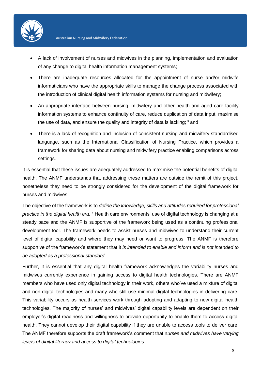

- A lack of involvement of nurses and midwives in the planning, implementation and evaluation of any change to digital health information management systems;
- There are inadequate resources allocated for the appointment of nurse and/or midwife informaticians who have the appropriate skills to manage the change process associated with the introduction of clinical digital health information systems for nursing and midwifery;
- An appropriate interface between nursing, midwifery and other health and aged care facility information systems to enhance continuity of care, reduce duplication of data input, maximise the use of data, and ensure the quality and integrity of data is lacking;  $3$  and
- There is a lack of recognition and inclusion of consistent nursing and midwifery standardised language, such as the International Classification of Nursing Practice, which provides a framework for sharing data about nursing and midwifery practice enabling comparisons across settings.

It is essential that these issues are adequately addressed to maximise the potential benefits of digital health. The ANMF understands that addressing these matters are outside the remit of this project, nonetheless they need to be strongly considered for the development of the digital framework for nurses and midwives.

The objective of the framework is to *define the knowledge, skills and attitudes required for professional practice in the digital health era.* <sup>4</sup> Health care environments' use of digital technology is changing at a steady pace and the ANMF is supportive of the framework being used as a continuing professional development tool. The framework needs to assist nurses and midwives to understand their current level of digital capability and where they may need or want to progress. The ANMF is therefore supportive of the framework's statement that it *is intended to enable and inform and is not intended to be adopted as a professional standard*.

Further, it is essential that any digital health framework acknowledges the variability nurses and midwives currently experience in gaining access to digital health technologies. There are ANMF members who have used only digital technology in their work, others who've used a mixture of digital and non-digital technologies and many who still use minimal digital technologies in delivering care. This variability occurs as health services work through adopting and adapting to new digital health technologies. The majority of nurses' and midwives' digital capability levels are dependent on their employer's digital readiness and willingness to provide opportunity to enable them to access digital health. They cannot develop their digital capability if they are unable to access tools to deliver care. The ANMF therefore supports the draft framework's comment that n*urses and midwives have varying levels of digital literacy and access to digital technologies.*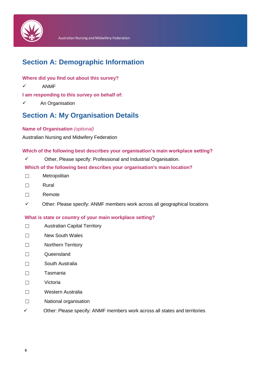

## **Section A: Demographic Information**

#### **Where did you find out about this survey?**

 $\checkmark$  ANMF

**I am responding to this survey on behalf of:**

 $\checkmark$  An Organisation

## **Section A: My Organisation Details**

#### **Name of Organisation** *(optional)*

Australian Nursing and Midwifery Federation

#### **Which of the following best describes your organisation's main workplace setting?**

 $\checkmark$  Other, Please specify: Professional and Industrial Organisation.

#### **Which of the following best describes your organisation's main location?**

- ☐ Metropolitan
- ☐ Rural
- ☐ Remote
- $\checkmark$  Other: Please specify: ANMF members work across all geographical locations

#### **What is state or country of your main workplace setting?**

- ☐ Australian Capital Territory
- ☐ New South Wales
- ☐ Northern Territory
- ☐ Queensland
- ☐ South Australia
- ☐ Tasmania
- ☐ Victoria
- ☐ Western Australia
- ☐ National organisation
- $\checkmark$  Other: Please specify: ANMF members work across all states and territories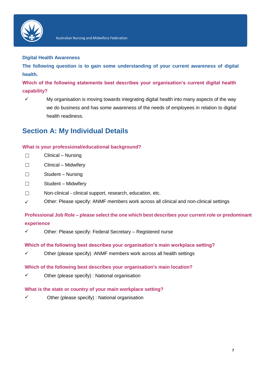

#### **Digital Health Awareness**

**The following question is to gain some understanding of your current awareness of digital health.**

**Which of the following statements best describes your organisation's current digital health capability?**

 $\checkmark$  My organisation is moving towards integrating digital health into many aspects of the way we do business and has some awareness of the needs of employees in relation to digital health readiness.

## **Section A: My Individual Details**

#### **What is your professional/educational background?**

- ☐ Clinical Nursing
- ☐ Clinical Midwifery
- ☐ Student Nursing
- ☐ Student Midwifery
- $\Box$ Non-clinical - clinical support, research, education, etc.
- $\checkmark$ Other: Please specify: ANMF members work across all clinical and non-clinical settings

**Professional Job Role – please select the one which best describes your current role or predominant experience**

 $\checkmark$  Other: Please specify: Federal Secretary – Registered nurse

#### **Which of the following best describes your organisation's main workplace setting?**

 $\checkmark$  Other (please specify) : ANMF members work across all health settings

#### **Which of the following best describes your organisation's main location?**

 $\checkmark$  Other (please specify) : National organisation

#### **What is the state or country of your main workplace setting?**

 $\checkmark$  Other (please specify) : National organisation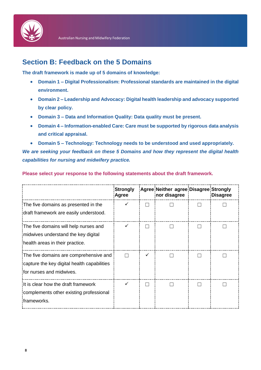

## **Section B: Feedback on the 5 Domains**

**The draft framework is made up of 5 domains of knowledge:**

- **Domain 1 – Digital Professionalism: Professional standards are maintained in the digital environment.**
- **Domain 2 – Leadership and Advocacy: Digital health leadership and advocacy supported by clear policy.**
- **Domain 3 – Data and Information Quality: Data quality must be present.**
- **Domain 4 – Information-enabled Care: Care must be supported by rigorous data analysis and critical appraisal.**
- **Domain 5 – Technology: Technology needs to be understood and used appropriately.**

*We are seeking your feedback on these 5 Domains and how they represent the digital health capabilities for nursing and midwifery practice.*

|                                                                                                                   | <b>Strongly</b><br>Agree |   | Agree Neither agree Disagree Strongly<br>nor disagree | Disagree |
|-------------------------------------------------------------------------------------------------------------------|--------------------------|---|-------------------------------------------------------|----------|
| The five domains as presented in the<br>draft framework are easily understood.                                    |                          |   |                                                       |          |
| The five domains will help nurses and<br>midwives understand the key digital<br>health areas in their practice.   |                          |   |                                                       |          |
| The five domains are comprehensive and<br>capture the key digital health capabilities<br>for nurses and midwives. |                          | ✓ |                                                       |          |
| It is clear how the draft framework<br>complements other existing professional<br>:frameworks.                    |                          |   |                                                       |          |

**Please select your response to the following statements about the draft framework.**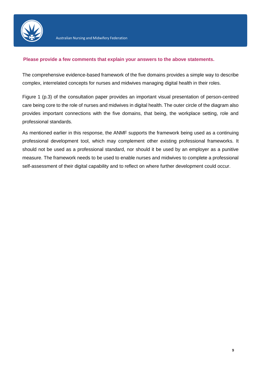

#### **Please provide a few comments that explain your answers to the above statements.**

The comprehensive evidence-based framework of the five domains provides a simple way to describe complex, interrelated concepts for nurses and midwives managing digital health in their roles.

Figure 1 (p.3) of the consultation paper provides an important visual presentation of person-centred care being core to the role of nurses and midwives in digital health. The outer circle of the diagram also provides important connections with the five domains, that being, the workplace setting, role and professional standards.

As mentioned earlier in this response, the ANMF supports the framework being used as a continuing professional development tool, which may complement other existing professional frameworks. It should not be used as a professional standard, nor should it be used by an employer as a punitive measure. The framework needs to be used to enable nurses and midwives to complete a professional self-assessment of their digital capability and to reflect on where further development could occur.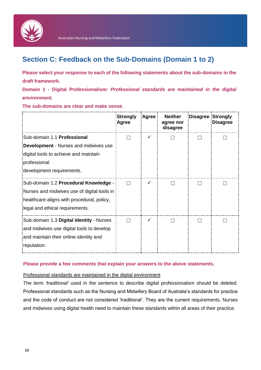

## **Section C: Feedback on the Sub-Domains (Domain 1 to 2)**

**Please select your response to each of the following statements about the sub-domains in the draft framework.**

**Domain 1 - Digital Professionalism:** *Professional standards are maintained in the digital environment.*

**The sub-domains are clear and make sense**:

|                                              | <b>Strongly</b><br>Agree | Agree | <b>Neither</b><br>agree nor<br>disagree | <b>Disagree Strongly</b> | <b>Disagree</b> |
|----------------------------------------------|--------------------------|-------|-----------------------------------------|--------------------------|-----------------|
| Sub-domain 1.1 Professional                  |                          |       |                                         |                          |                 |
| <b>Development - Nurses and midwives use</b> |                          |       |                                         |                          |                 |
| digital tools to achieve and maintain        |                          |       |                                         |                          |                 |
| professional                                 |                          |       |                                         |                          |                 |
| development requirements.                    |                          |       |                                         |                          |                 |
| Sub-domain 1.2 Procedural Knowledge -        |                          | ✓     |                                         |                          |                 |
| Nurses and midwives use of digital tools in  |                          |       |                                         |                          |                 |
| healthcare aligns with procedural, policy,   |                          |       |                                         |                          |                 |
| legal and ethical requirements.              |                          |       |                                         |                          |                 |
| Sub-domain 1.3 Digital Identity - Nurses     |                          | ✓     |                                         |                          |                 |
| and midwives use digital tools to develop    |                          |       |                                         |                          |                 |
| and maintain their online identity and       |                          |       |                                         |                          |                 |
| reputation.                                  |                          |       |                                         |                          |                 |

#### **Please provide a few comments that explain your answers to the above statements.**

#### Professional standards are maintained in the digital environment

The term *'traditional'* used in the sentence to describe digital professionalism should be deleted. Professional standards such as the Nursing and Midwifery Board of Australia's standards for practice and the code of conduct are not considered 'traditional'. They are the current requirements. Nurses and midwives using digital health need to maintain these standards within all areas of their practice.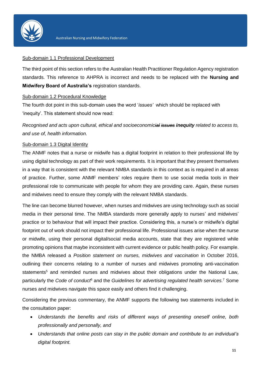

#### Sub-domain 1.1 Professional Development

The third point of this section refers to the Australian Health Practitioner Regulation Agency registration standards. This reference to AHPRA is incorrect and needs to be replaced with the **Nursing and Midwifery Board of Australia's** registration standards.

#### Sub-domain 1.2 Procedural Knowledge

The fourth dot point in this sub-domain uses the word '*issues'* which should be replaced with 'inequity'. This statement should now read:

*Recognised and acts upon cultural, ethical and socioeconomicial issues inequity related to access to, and use of, health information.* 

#### Sub-domain 1.3 Digital Identity

The ANMF notes that a nurse or midwife has a digital footprint in relation to their professional life by using digital technology as part of their work requirements. It is important that they present themselves in a way that is consistent with the relevant NMBA standards in this context as is required in all areas of practice. Further, some ANMF members' roles require them to use social media tools in their professional role to communicate with people for whom they are providing care. Again, these nurses and midwives need to ensure they comply with the relevant NMBA standards.

The line can become blurred however, when nurses and midwives are using technology such as social media in their personal time. The NMBA standards more generally apply to nurses' and midwives' practice or to behaviour that will impact their practice. Considering this, a nurse's or midwife's digital footprint out of work should not impact their professional life. Professional issues arise when the nurse or midwife, using their personal digital/social media accounts, state that they are registered while promoting opinions that maybe inconsistent with current evidence or public health policy. For example. the NMBA released a *Position statement on nurses, midwives and vaccination* in October 2016, outlining their concerns relating to a number of nurses and midwives promoting anti-vaccination statements<sup>5</sup> and reminded nurses and midwives about their obligations under the National Law, particularly the *Code of conduct*<sup>6</sup> and the *Guidelines for advertising regulated health services.* <sup>7</sup> Some nurses and midwives navigate this space easily and others find it challenging.

Considering the previous commentary, the ANMF supports the following two statements included in the consultation paper:

- *Understands the benefits and risks of different ways of presenting oneself online, both professionally and personally, and*
- *Understands that online posts can stay in the public domain and contribute to an individual's digital footprint.*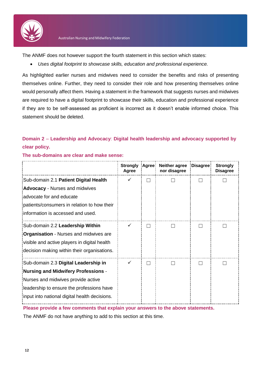

The ANMF does not however support the fourth statement in this section which states:

*Uses digital footprint to showcase skills, education and professional experience.* 

As highlighted earlier nurses and midwives need to consider the benefits and risks of presenting themselves online. Further, they need to consider their role and how presenting themselves online would personally affect them. Having a statement in the framework that suggests nurses and midwives are required to have a digital footprint to showcase their skills, education and professional experience if they are to be self-assessed as proficient is incorrect as it doesn't enable informed choice. This statement should be deleted.

#### **Domain 2** – **Leadership and Advocacy**: **Digital health leadership and advocacy supported by clear policy.**

|                                               | <b>Strongly</b><br>Agree | :Agree: | <b>Neither agree</b><br>nor disagree | Disagree | <b>Strongly</b><br><b>Disagree</b> |
|-----------------------------------------------|--------------------------|---------|--------------------------------------|----------|------------------------------------|
| Sub-domain 2.1 Patient Digital Health         |                          |         |                                      |          |                                    |
| <b>Advocacy</b> - Nurses and midwives         |                          |         |                                      |          |                                    |
| advocate for and educate                      |                          |         |                                      |          |                                    |
| patients/consumers in relation to how their   |                          |         |                                      |          |                                    |
| information is accessed and used.             |                          |         |                                      |          |                                    |
| Sub-domain 2.2 Leadership Within              |                          |         |                                      |          |                                    |
| <b>Organisation</b> - Nurses and midwives are |                          |         |                                      |          |                                    |
| visible and active players in digital health  |                          |         |                                      |          |                                    |
| decision making within their organisations.   |                          |         |                                      |          |                                    |
| Sub-domain 2.3 Digital Leadership in          |                          |         |                                      |          |                                    |
| Nursing and Midwifery Professions -           |                          |         |                                      |          |                                    |
| Nurses and midwives provide active            |                          |         |                                      |          |                                    |
| leadership to ensure the professions have     |                          |         |                                      |          |                                    |
| input into national digital health decisions. |                          |         |                                      |          |                                    |

**The sub-domains are clear and make sense:**

**Please provide a few comments that explain your answers to the above statements.**

The ANMF do not have anything to add to this section at this time.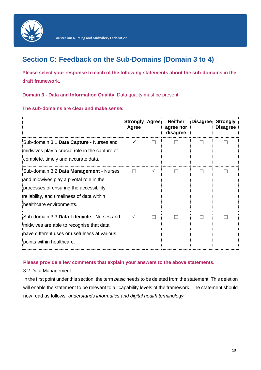

## **Section C: Feedback on the Sub-Domains (Domain 3 to 4)**

**Please select your response to each of the following statements about the sub-domains in the draft framework.**

**Domain 3 - Data and Information Quality**: Data quality must be present.

**The sub-domains are clear and make sense:**

|                                                                                                                                                                                                          | <b>Strongly</b><br>Agree | <b>Agree</b> | <b>Neither</b><br>agree nor<br>disagree | <b>Disagree</b> | <b>Strongly</b><br><b>Disagree</b> |
|----------------------------------------------------------------------------------------------------------------------------------------------------------------------------------------------------------|--------------------------|--------------|-----------------------------------------|-----------------|------------------------------------|
| Sub-domain 3.1 Data Capture - Nurses and<br>midwives play a crucial role in the capture of<br>complete, timely and accurate data.                                                                        |                          |              |                                         |                 |                                    |
| Sub-domain 3.2 Data Management - Nurses<br>and midwives play a pivotal role in the<br>processes of ensuring the accessibility,<br>reliability, and timeliness of data within<br>healthcare environments. |                          | ✓            |                                         |                 |                                    |
| Sub-domain 3.3 Data Lifecycle - Nurses and<br>midwives are able to recognise that data<br>have different uses or usefulness at various<br>points within healthcare.                                      |                          |              |                                         |                 |                                    |

#### **Please provide a few comments that explain your answers to the above statements.**

#### 3.2 Data Management

In the first point under this section, the term *basic* needs to be deleted from the statement. This deletion will enable the statement to be relevant to all capability levels of the framework. The statement should now read as follows: *understands informatics and digital health terminology.*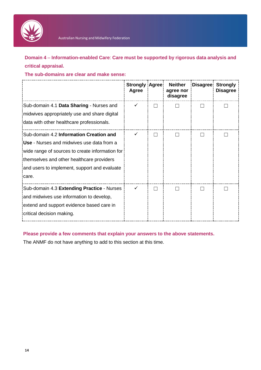

**Domain 4** – **Information-enabled Care**: **Care must be supported by rigorous data analysis and critical appraisal.**

**The sub-domains are clear and make sense:**

|                                                                                                                                                                                                                                                | <b>Strongly Agree!</b><br><b>Agree</b> | <b>Neither</b><br>agree nor<br>disagree | <b>Disagree!</b> | <b>Strongly</b><br><b>Disagree</b> |
|------------------------------------------------------------------------------------------------------------------------------------------------------------------------------------------------------------------------------------------------|----------------------------------------|-----------------------------------------|------------------|------------------------------------|
| Sub-domain 4.1 Data Sharing - Nurses and<br>midwives appropriately use and share digital<br>data with other healthcare professionals.                                                                                                          |                                        |                                         |                  |                                    |
| Sub-domain 4.2 Information Creation and<br>Use - Nurses and midwives use data from a<br>wide range of sources to create information for<br>themselves and other healthcare providers<br>and users to implement, support and evaluate<br>icare. |                                        |                                         |                  |                                    |
| Sub-domain 4.3 Extending Practice - Nurses<br>and midwives use information to develop,<br>extend and support evidence based care in<br>critical decision making.                                                                               |                                        |                                         |                  |                                    |

#### **Please provide a few comments that explain your answers to the above statements.**

The ANMF do not have anything to add to this section at this time.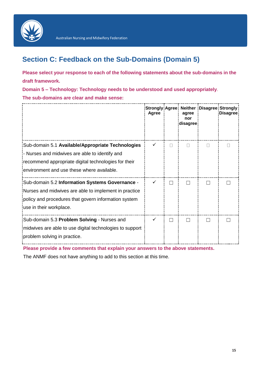

## **Section C: Feedback on the Sub-Domains (Domain 5)**

**Please select your response to each of the following statements about the sub-domains in the draft framework.**

**Domain 5 – Technology: Technology needs to be understood and used appropriately**. **The sub-domains are clear and make sense:**

|                                                                                                                                                                                                           | Agree |                | agree<br>nor<br>disagree | Strongly Agree Neither Disagree Strongly<br><b>Disagree</b> |
|-----------------------------------------------------------------------------------------------------------------------------------------------------------------------------------------------------------|-------|----------------|--------------------------|-------------------------------------------------------------|
| Sub-domain 5.1 Available/Appropriate Technologies<br>- Nurses and midwives are able to identify and<br>recommend appropriate digital technologies for their<br>environment and use these where available. |       | П              | П                        |                                                             |
| Sub-domain 5.2 Information Systems Governance -<br>Nurses and midwives are able to implement in practice<br>policy and procedures that govern information system<br>use in their workplace.               |       | $\blacksquare$ |                          |                                                             |
| Sub-domain 5.3 Problem Solving - Nurses and<br>midwives are able to use digital technologies to support<br>problem solving in practice.                                                                   |       | $\mathcal{L}$  |                          |                                                             |

**Please provide a few comments that explain your answers to the above statements.**

The ANMF does not have anything to add to this section at this time.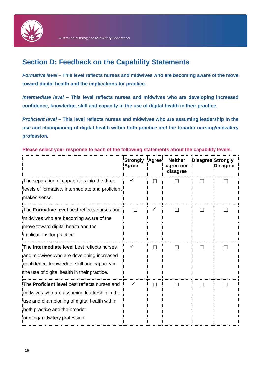

## **Section D: Feedback on the Capability Statements**

*Formative level* – **This level reflects nurses and midwives who are becoming aware of the move toward digital health and the implications for practice.**

*Intermediate level* **– This level reflects nurses and midwives who are developing increased confidence, knowledge, skill and capacity in the use of digital health in their practice.**

*Proficient level* **– This level reflects nurses and midwives who are assuming leadership in the use and championing of digital health within both practice and the broader nursing/midwifery profession.**

#### **Please select your response to each of the following statements about the capability levels.**

|                                                                                                                                                                                                                       | <b>Strongly</b><br><b>Agree</b> | Agree:       | <b>Neither</b><br>agree nor<br>disagree | <b>Disagree Strongly</b> | <b>Disagree</b> |
|-----------------------------------------------------------------------------------------------------------------------------------------------------------------------------------------------------------------------|---------------------------------|--------------|-----------------------------------------|--------------------------|-----------------|
| The separation of capabilities into the three<br>levels of formative, intermediate and proficient<br>makes sense.                                                                                                     | ✓                               |              |                                         |                          |                 |
| The Formative level best reflects nurses and<br>midwives who are becoming aware of the<br>move toward digital health and the<br>implications for practice.                                                            |                                 |              | $\mathsf{L}$                            |                          |                 |
| The <b>Intermediate level</b> best reflects nurses<br>and midwives who are developing increased<br>confidence, knowledge, skill and capacity in<br>the use of digital health in their practice.                       |                                 | $\mathbf{I}$ | $\mathsf{L}$                            |                          |                 |
| The <b>Proficient level</b> best reflects nurses and<br>midwives who are assuming leadership in the<br>use and championing of digital health within<br>both practice and the broader<br>nursing/midwifery profession. |                                 |              |                                         |                          |                 |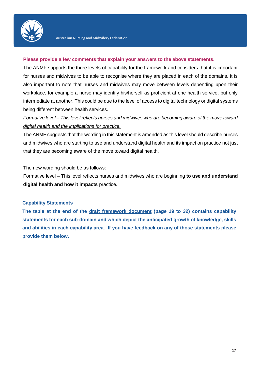

#### **Please provide a few comments that explain your answers to the above statements.**

The ANMF supports the three levels of capability for the framework and considers that it is important for nurses and midwives to be able to recognise where they are placed in each of the domains. It is also important to note that nurses and midwives may move between levels depending upon their workplace, for example a nurse may identify his/herself as proficient at one health service, but only intermediate at another. This could be due to the level of access to digital technology or digital systems being different between health services.

#### *Formative level – This level reflects nurses and midwives who are becoming aware of the move toward digital health and the implications for practice.*

The ANMF suggests that the wording in this statement is amended as this level should describe nurses and midwives who are starting to use and understand digital health and its impact on practice not just that they are becoming aware of the move toward digital health.

The new wording should be as follows:

Formative level – This level reflects nurses and midwives who are beginning **to use and understand digital health and how it impacts** practice.

#### **Capability Statements**

**The table at the end of the [draft framework document](https://www.hisa.org.au/wp-content/uploads/2020/01/DRAFT-National-Digital-Health-Capability-Framework-for-Nurses-and-Midwives-v4.7_For-Consultation.pdf?x97063) (page 19 to 32) contains capability statements for each sub-domain and which depict the anticipated growth of knowledge, skills and abilities in each capability area. If you have feedback on any of those statements please provide them below.**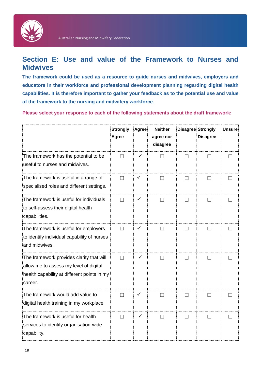

## **Section E: Use and value of the Framework to Nurses and Midwives**

**The framework could be used as a resource to guide nurses and midwives, employers and educators in their workforce and professional development planning regarding digital health capabilities. It is therefore important to gather your feedback as to the potential use and value of the framework to the nursing and midwifery workforce.**

**Please select your response to each of the following statements about the draft framework:**

|                                                                                                                                              | <b>Strongly</b><br>Agree | Agree | <b>Neither</b><br>agree nor<br>disagree | <b>Disagree Strongly</b> | <b>Disagree</b> | <b>Unsure</b> |
|----------------------------------------------------------------------------------------------------------------------------------------------|--------------------------|-------|-----------------------------------------|--------------------------|-----------------|---------------|
| The framework has the potential to be<br>useful to nurses and midwives.                                                                      |                          |       |                                         |                          |                 |               |
| The framework is useful in a range of<br>specialised roles and different settings.                                                           | $\Box$                   |       |                                         |                          |                 |               |
| The framework is useful for individuals<br>to self-assess their digital health<br>capabilities.                                              |                          | ✓     |                                         |                          |                 |               |
| The framework is useful for employers<br>to identify individual capability of nurses<br>and midwives.                                        | $\mathbf{L}$             |       |                                         |                          |                 |               |
| The framework provides clarity that will<br>allow me to assess my level of digital<br>health capability at different points in my<br>career. | П                        | ✓     |                                         |                          |                 |               |
| The framework would add value to<br>digital health training in my workplace.                                                                 | $\Box$                   |       |                                         |                          |                 |               |
| The framework is useful for health<br>services to identify organisation-wide<br>capability.                                                  | П                        |       |                                         | ΓI                       | $\mathbf{I}$    |               |